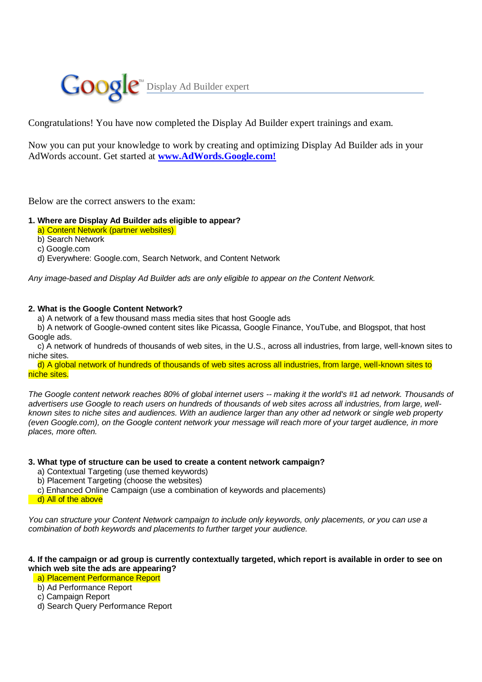

Congratulations! You have now completed the Display Ad Builder expert trainings and exam.

Now you can put your knowledge to work by creating and optimizing Display Ad Builder ads in your AdWords account. Get started at **www.AdWords.Google.com!**

Below are the correct answers to the exam:

## **1. Where are Display Ad Builder ads eligible to appear?**

a) Content Network (partner websites)

b) Search Network

c) Google.com

d) Everywhere: Google.com, Search Network, and Content Network

*Any image-based and Display Ad Builder ads are only eligible to appear on the Content Network.*

## **2. What is the Google Content Network?**

a) A network of a few thousand mass media sites that host Google ads

 b) A network of Google-owned content sites like Picassa, Google Finance, YouTube, and Blogspot, that host Google ads.

 c) A network of hundreds of thousands of web sites, in the U.S., across all industries, from large, well-known sites to niche sites.

 d) A global network of hundreds of thousands of web sites across all industries, from large, well-known sites to niche sites.

*The Google content network reaches 80% of global internet users -- making it the world's #1 ad network. Thousands of advertisers use Google to reach users on hundreds of thousands of web sites across all industries, from large, wellknown sites to niche sites and audiences. With an audience larger than any other ad network or single web property (even Google.com), on the Google content network your message will reach more of your target audience, in more places, more often.*

### **3. What type of structure can be used to create a content network campaign?**

- a) Contextual Targeting (use themed keywords)
- b) Placement Targeting (choose the websites)
- c) Enhanced Online Campaign (use a combination of keywords and placements)
- d) All of the above

*You can structure your Content Network campaign to include only keywords, only placements, or you can use a combination of both keywords and placements to further target your audience.*

# **4. If the campaign or ad group is currently contextually targeted, which report is available in order to see on which web site the ads are appearing?**

- a) Placement Performance Report
- b) Ad Performance Report
- c) Campaign Report
- d) Search Query Performance Report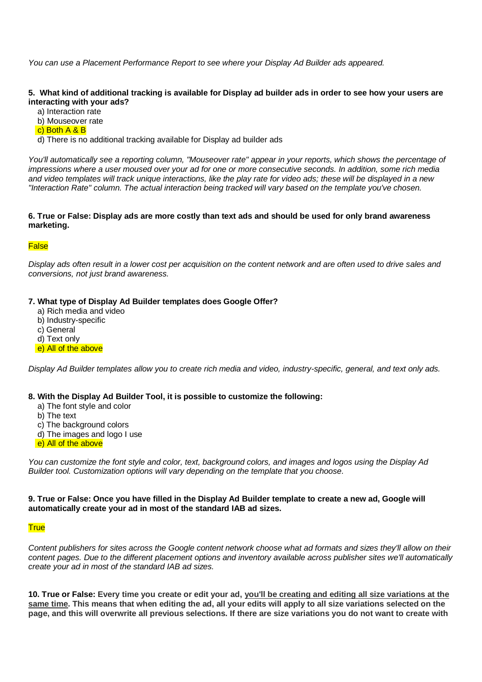*You can use a Placement Performance Report to see where your Display Ad Builder ads appeared.*

# **5. What kind of additional tracking is available for Display ad builder ads in order to see how your users are interacting with your ads?**

a) Interaction rate

- b) Mouseover rate
- c) Both A & B

d) There is no additional tracking available for Display ad builder ads

*You'll automatically see a reporting column, "Mouseover rate" appear in your reports, which shows the percentage of impressions where a user moused over your ad for one or more consecutive seconds. In addition, some rich media and video templates will track unique interactions, like the play rate for video ads; these will be displayed in a new "Interaction Rate" column. The actual interaction being tracked will vary based on the template you've chosen.*

### **6. True or False: Display ads are more costly than text ads and should be used for only brand awareness marketing.**

### **False**

*Display ads often result in a lower cost per acquisition on the content network and are often used to drive sales and conversions, not just brand awareness.*

## **7. What type of Display Ad Builder templates does Google Offer?**

- a) Rich media and video
- b) Industry-specific
- c) General
- d) Text only
- e) All of the above

*Display Ad Builder templates allow you to create rich media and video, industry-specific, general, and text only ads.* 

### **8. With the Display Ad Builder Tool, it is possible to customize the following:**

- a) The font style and color
- b) The text
- c) The background colors
- d) The images and logo I use
- e) All of the above

*You can customize the font style and color, text, background colors, and images and logos using the Display Ad Builder tool. Customization options will vary depending on the template that you choose.* 

### **9. True or False: Once you have filled in the Display Ad Builder template to create a new ad, Google will automatically create your ad in most of the standard IAB ad sizes.**

# **True**

*Content publishers for sites across the Google content network choose what ad formats and sizes they'll allow on their content pages. Due to the different placement options and inventory available across publisher sites we'll automatically create your ad in most of the standard IAB ad sizes.* 

**10. True or False: Every time you create or edit your ad, you'll be creating and editing all size variations at the same time. This means that when editing the ad, all your edits will apply to all size variations selected on the page, and this will overwrite all previous selections. If there are size variations you do not want to create with**